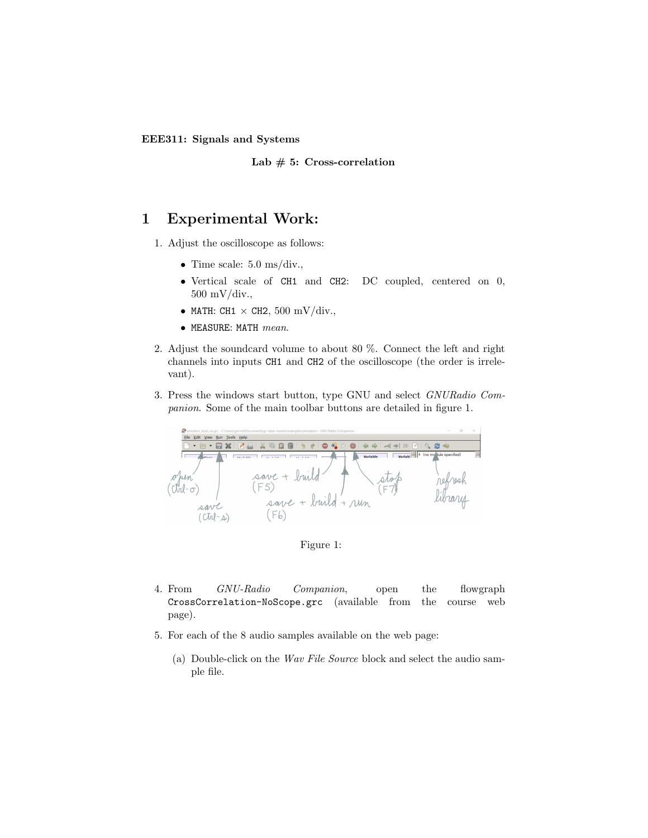EEE311: Signals and Systems

Lab  $# 5: Cross-correlation$ 

## 1 Experimental Work:

- 1. Adjust the oscilloscope as follows:
	- Time scale:  $5.0 \text{ ms}/\text{div.}$
	- Vertical scale of CH1 and CH2: DC coupled, centered on 0, 500 mV/div.,
	- MATH: CH1  $\times$  CH2, 500 mV/div.,
	- $\bullet$  MEASURE: MATH  $mean$ .
- 2. Adjust the soundcard volume to about 80 %. Connect the left and right channels into inputs CH1 and CH2 of the oscilloscope (the order is irrelevant).
- 3. Press the windows start button, type GNU and select GNURadio Companion. Some of the main toolbar buttons are detailed in figure 1.



Figure 1:

- 4. From GNU-Radio Companion, open the flowgraph CrossCorrelation-NoScope.grc (available from the course web page).
- 5. For each of the 8 audio samples available on the web page:
	- (a) Double-click on the Wav File Source block and select the audio sample file.